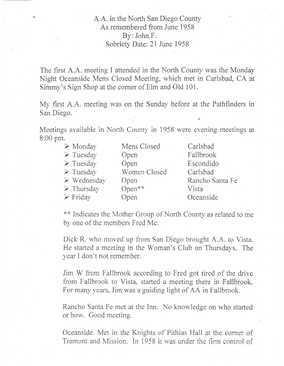## A.A. in the North San Diego County As remembered from June 1958 By: John F. Sobriety Date: 21 June 1958

The first A.A. meeting I attended in the North County was the Monday Night Oceanside Mens Closed Meeting, which met in Carlsbad, CA at Simmy's Sign Shop at the corner of Elm and Old 101.

My first A.A. meeting was on the Sunday before at the Pathfinders in San Diego.

(

Meetings available in North County in 1958 were evening meetings at 8:00 pm.

| $\triangleright$ Monday    | Mens Closed  | Carlsbad        |
|----------------------------|--------------|-----------------|
| $\triangleright$ Tuesday   | Open         | Fallbrook       |
| $\triangleright$ Tuesday   | Open         | Escondido       |
| $\triangleright$ Tuesday   | Women Closed | Carlsbad        |
| $\triangleright$ Wednesday | Open         | Rancho Santa Fe |
| $\triangleright$ Thursday  | Open**       | Vista           |
| $\triangleright$ Friday    | Open         | Oceanside       |

\*\* Indicates the Mother Group of North County as related to me by one of the members Fred Me.

Dick R. who moved up from San Diego brought A.A. to Vista. He started a meeting in the Woman's Club on Thursdays. The year I don't not remember.

Jim W from Fallbrook according to Fred got tired of the drive from Fallbrook to Vista, started a meeting there in Fallbrook. For many years, Jim was a guiding light of AA in Fallbrook.

Rancho Santa Fe met at the Inn. No knowledge on who started or how. Good meeting.

Oceanside. Met in the Knights of Pithias Hall at the corner of Tremont and Mission. In 1958 it was under the firm control of